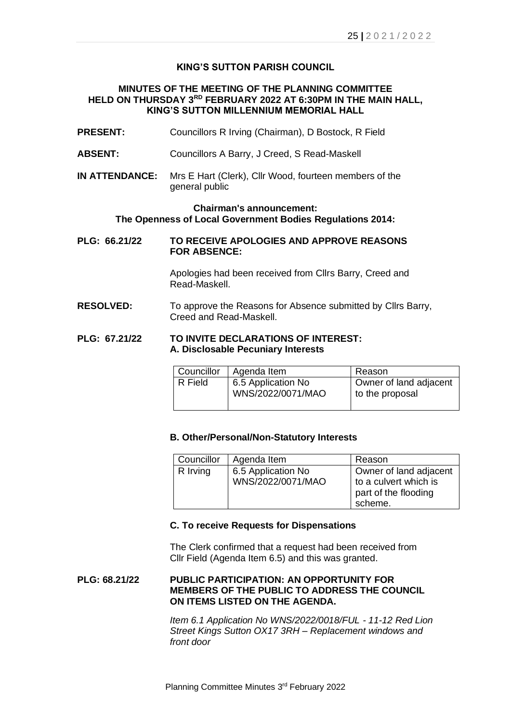## **KING'S SUTTON PARISH COUNCIL**

## **MINUTES OF THE MEETING OF THE PLANNING COMMITTEE HELD ON THURSDAY 3 RD FEBRUARY 2022 AT 6:30PM IN THE MAIN HALL, KING'S SUTTON MILLENNIUM MEMORIAL HALL**

- **PRESENT:** Councillors R Irving (Chairman), D Bostock, R Field
- **ABSENT:** Councillors A Barry, J Creed, S Read-Maskell
- **IN ATTENDANCE:** Mrs E Hart (Clerk), Cllr Wood, fourteen members of the general public

#### **Chairman's announcement: The Openness of Local Government Bodies Regulations 2014:**

**PLG: 66.21/22 TO RECEIVE APOLOGIES AND APPROVE REASONS FOR ABSENCE:**

> Apologies had been received from Cllrs Barry, Creed and Read-Maskell.

**RESOLVED:** To approve the Reasons for Absence submitted by Cllrs Barry, Creed and Read-Maskell.

## **PLG: 67.21/22 TO INVITE DECLARATIONS OF INTEREST: A. Disclosable Pecuniary Interests**

| Councillor | Agenda Item                             | Reason                                    |
|------------|-----------------------------------------|-------------------------------------------|
| R Field    | 6.5 Application No<br>WNS/2022/0071/MAO | Owner of land adjacent<br>to the proposal |

#### **B. Other/Personal/Non-Statutory Interests**

| Councillor | Agenda Item                             | Reason                                                                             |
|------------|-----------------------------------------|------------------------------------------------------------------------------------|
| R Irving   | 6.5 Application No<br>WNS/2022/0071/MAO | Owner of land adjacent<br>to a culvert which is<br>part of the flooding<br>scheme. |

#### **C. To receive Requests for Dispensations**

The Clerk confirmed that a request had been received from Cllr Field (Agenda Item 6.5) and this was granted.

# **PLG: 68.21/22 PUBLIC PARTICIPATION: AN OPPORTUNITY FOR MEMBERS OF THE PUBLIC TO ADDRESS THE COUNCIL ON ITEMS LISTED ON THE AGENDA.**

*Item 6.1 Application No WNS/2022/0018/FUL - 11-12 Red Lion Street Kings Sutton OX17 3RH – Replacement windows and front door*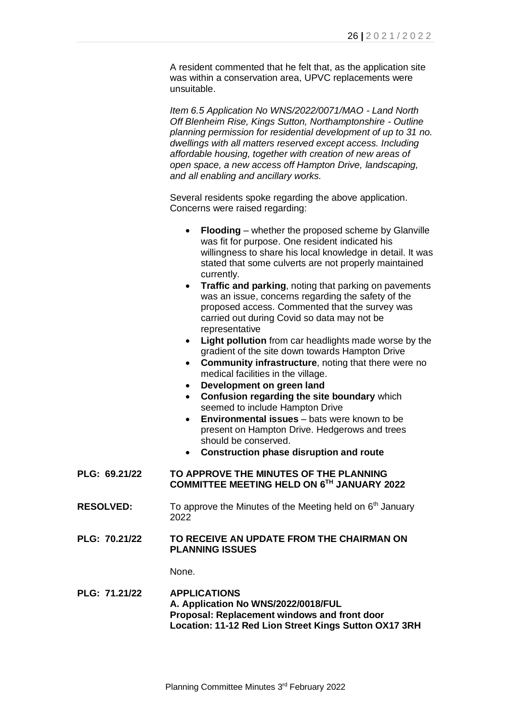A resident commented that he felt that, as the application site was within a conservation area, UPVC replacements were unsuitable.

*Item 6.5 Application No WNS/2022/0071/MAO - Land North Off Blenheim Rise, Kings Sutton, Northamptonshire - Outline planning permission for residential development of up to 31 no. dwellings with all matters reserved except access. Including affordable housing, together with creation of new areas of open space, a new access off Hampton Drive, landscaping, and all enabling and ancillary works.*

Several residents spoke regarding the above application. Concerns were raised regarding:

- **Flooding** whether the proposed scheme by Glanville was fit for purpose. One resident indicated his willingness to share his local knowledge in detail. It was stated that some culverts are not properly maintained currently.
- **Traffic and parking**, noting that parking on pavements was an issue, concerns regarding the safety of the proposed access. Commented that the survey was carried out during Covid so data may not be representative
- **Light pollution** from car headlights made worse by the gradient of the site down towards Hampton Drive
- **Community infrastructure**, noting that there were no medical facilities in the village.
- **Development on green land**
- **Confusion regarding the site boundary** which seemed to include Hampton Drive
- **Environmental issues** bats were known to be present on Hampton Drive. Hedgerows and trees should be conserved.
- **Construction phase disruption and route**

## **PLG: 69.21/22 TO APPROVE THE MINUTES OF THE PLANNING COMMITTEE MEETING HELD ON 6 TH JANUARY 2022**

- **RESOLVED:** To approve the Minutes of the Meeting held on 6<sup>th</sup> January 2022
- **PLG: 70.21/22 TO RECEIVE AN UPDATE FROM THE CHAIRMAN ON PLANNING ISSUES**

None.

## **PLG: 71.21/22 APPLICATIONS A. Application No WNS/2022/0018/FUL Proposal: Replacement windows and front door Location: 11-12 Red Lion Street Kings Sutton OX17 3RH**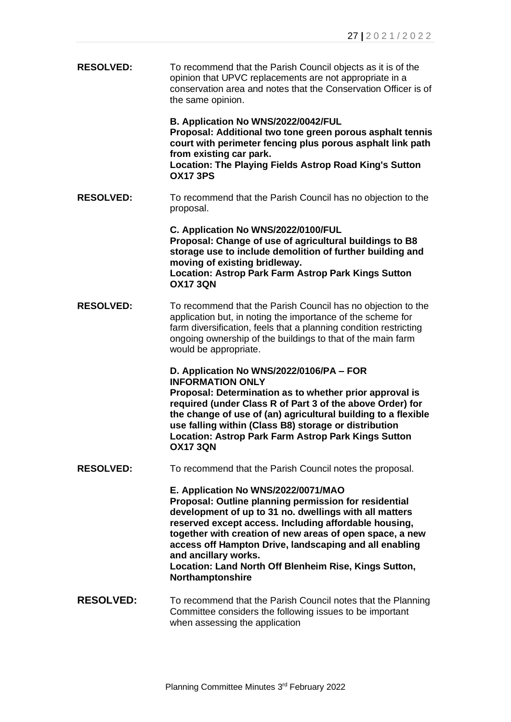**RESOLVED:** To recommend that the Parish Council objects as it is of the opinion that UPVC replacements are not appropriate in a conservation area and notes that the Conservation Officer is of the same opinion.

> **B. Application No WNS/2022/0042/FUL Proposal: Additional two tone green porous asphalt tennis court with perimeter fencing plus porous asphalt link path from existing car park. Location: The Playing Fields Astrop Road King's Sutton OX17 3PS**

**RESOLVED:** To recommend that the Parish Council has no objection to the proposal.

> **C. Application No WNS/2022/0100/FUL Proposal: Change of use of agricultural buildings to B8 storage use to include demolition of further building and moving of existing bridleway. Location: Astrop Park Farm Astrop Park Kings Sutton OX17 3QN**

**RESOLVED:** To recommend that the Parish Council has no objection to the application but, in noting the importance of the scheme for farm diversification, feels that a planning condition restricting ongoing ownership of the buildings to that of the main farm would be appropriate.

> **D. Application No WNS/2022/0106/PA – FOR INFORMATION ONLY**

**Proposal: Determination as to whether prior approval is required (under Class R of Part 3 of the above Order) for the change of use of (an) agricultural building to a flexible use falling within (Class B8) storage or distribution Location: Astrop Park Farm Astrop Park Kings Sutton OX17 3QN**

**RESOLVED:** To recommend that the Parish Council notes the proposal.

**E. Application No WNS/2022/0071/MAO**

**Proposal: Outline planning permission for residential development of up to 31 no. dwellings with all matters reserved except access. Including affordable housing, together with creation of new areas of open space, a new access off Hampton Drive, landscaping and all enabling and ancillary works.**

**Location: Land North Off Blenheim Rise, Kings Sutton, Northamptonshire**

**RESOLVED:** To recommend that the Parish Council notes that the Planning Committee considers the following issues to be important when assessing the application